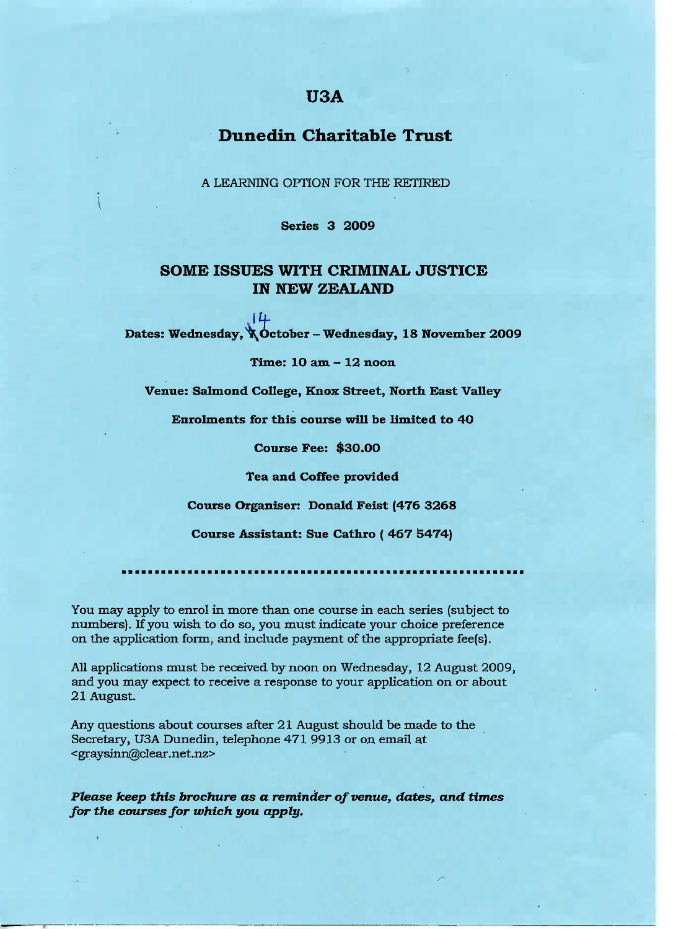# **USA**

# **Dunedin Charitable Trust**

A LEARNING OPTION FOR THE RETIRED

**Series 3 2009**

### **SOME ISSUES WITH CRIMINAL JUSTICE IN NEW ZEALAND**

 $14$ Dates: Wednesday,  $\angle$  October - Wednesday, 18 November 2009

**Time: 10 am - 12 noon**

**Venue:** Salmond **College, Knox Street, North Bast Valley**

Enrolments **for this course will be** limited **to** 40

**Course Pee:** \$30.00

**Tea and Coffee provided**

**Course Organiser: Donald Feist (476 3268**

**Course Assistant: Sue Cathro ( 467 3474)**

You may apply to enrol in more than one course in each series (subject to numbers). If you wish to do so, you must indicate your choice preference on the application form, and include payment of the appropriate fee(s).

All applications must be received by noon on Wednesday, 12 August 2009, and you may expect to receive a response to your application on or about 21 August.

Any questions about courses after 21 August should be made to the Secretary, U3A Dunedin, telephone 471 9913 or on email at <graysinn@clear.net.nz>

*Please keep this brochure as a reminder of venue, dates, and times for the courses for which you apply.*